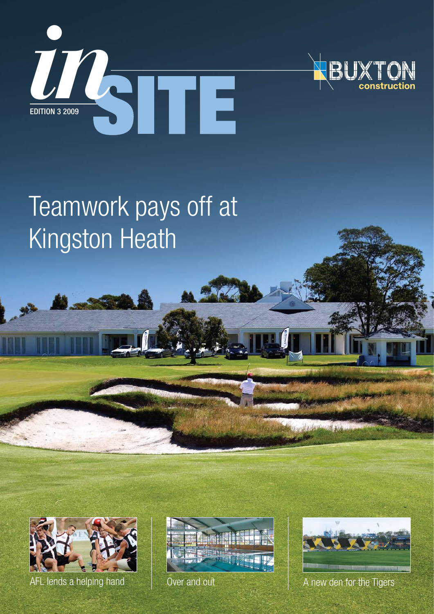



# Teamwork pays off at Kingston Heath



AFL lends a helping hand  $\parallel$  Over and out  $\parallel$  A new den for the Tigers



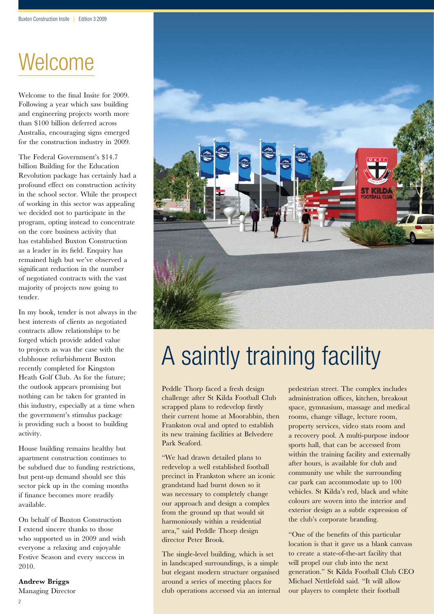### Welcome

Welcome to the final Insite for 2009. Following a year which saw building and engineering projects worth more than \$100 billion deferred across Australia, encouraging signs emerged for the construction industry in 2009.

The Federal Government's \$14.7 billion Building for the Education Revolution package has certainly had a profound effect on construction activity in the school sector. While the prospect of working in this sector was appealing we decided not to participate in the program, opting instead to concentrate on the core business activity that has established Buxton Construction as a leader in its field. Enquiry has remained high but we've observed a significant reduction in the number of negotiated contracts with the vast majority of projects now going to tender.

In my book, tender is not always in the best interests of clients as negotiated contracts allow relationships to be forged which provide added value to projects as was the case with the clubhouse refurbishment Buxton recently completed for Kingston Heath Golf Club. As for the future; the outlook appears promising but nothing can be taken for granted in this industry, especially at a time when the government's stimulus package is providing such a boost to building activity.

House building remains healthy but apartment construction continues to be subdued due to funding restrictions, but pent-up demand should see this sector pick up in the coming months if finance becomes more readily available.

On behalf of Buxton Construction I extend sincere thanks to those who supported us in 2009 and wish everyone a relaxing and enjoyable Festive Season and every success in 2010.

**Andrew Briggs** Managing Director



# A saintly training facility

Peddle Thorp faced a fresh design challenge after St Kilda Football Club scrapped plans to redevelop firstly their current home at Moorabbin, then Frankston oval and opted to establish its new training facilities at Belvedere Park Seaford.

"We had drawn detailed plans to redevelop a well established football precinct in Frankston where an iconic grandstand had burnt down so it was necessary to completely change our approach and design a complex from the ground up that would sit harmoniously within a residential area," said Peddle Thorp design director Peter Brook.

The single-level building, which is set in landscaped surroundings, is a simple but elegant modern structure organised around a series of meeting places for club operations accessed via an internal pedestrian street. The complex includes administration offices, kitchen, breakout space, gymnasium, massage and medical rooms, change village, lecture room, property services, video stats room and a recovery pool. A multi-purpose indoor sports hall, that can be accessed from within the training facility and externally after hours, is available for club and community use while the surrounding car park can accommodate up to 100 vehicles. St Kilda's red, black and white colours are woven into the interior and exterior design as a subtle expression of the club's corporate branding.

"One of the benefits of this particular location is that it gave us a blank canvass to create a state-of-the-art facility that will propel our club into the next generation." St Kilda Football Club CEO Michael Nettlefold said. "It will allow our players to complete their football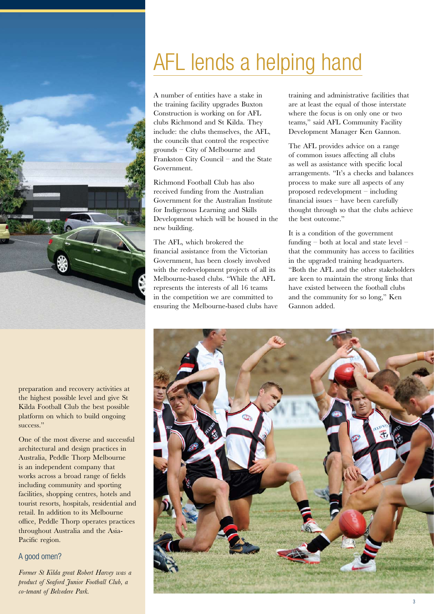

## AFL lends a helping hand

A number of entities have a stake in the training facility upgrades Buxton Construction is working on for AFL clubs Richmond and St Kilda. They include: the clubs themselves, the AFL, the councils that control the respective grounds – City of Melbourne and Frankston City Council – and the State Government.

Richmond Football Club has also received funding from the Australian Government for the Australian Institute for Indigenous Learning and Skills Development which will be housed in the new building.

The AFL, which brokered the financial assistance from the Victorian Government, has been closely involved with the redevelopment projects of all its Melbourne-based clubs. "While the AFL represents the interests of all 16 teams in the competition we are committed to ensuring the Melbourne-based clubs have training and administrative facilities that are at least the equal of those interstate where the focus is on only one or two teams," said AFL Community Facility Development Manager Ken Gannon.

The AFL provides advice on a range of common issues affecting all clubs as well as assistance with specific local arrangements. "It's a checks and balances process to make sure all aspects of any proposed redevelopment – including financial issues – have been carefully thought through so that the clubs achieve the best outcome."

It is a condition of the government funding – both at local and state level – that the community has access to facilities in the upgraded training headquarters. "Both the AFL and the other stakeholders are keen to maintain the strong links that have existed between the football clubs and the community for so long," Ken Gannon added.



preparation and recovery activities at the highest possible level and give St Kilda Football Club the best possible platform on which to build ongoing success."

One of the most diverse and successful architectural and design practices in Australia, Peddle Thorp Melbourne is an independent company that works across a broad range of fields including community and sporting facilities, shopping centres, hotels and tourist resorts, hospitals, residential and retail. In addition to its Melbourne office, Peddle Thorp operates practices throughout Australia and the Asia-Pacific region.

### A good omen?

*Former St Kilda great Robert Harvey was a product of Seaford Junior Football Club, a co-tenant of Belvedere Park.*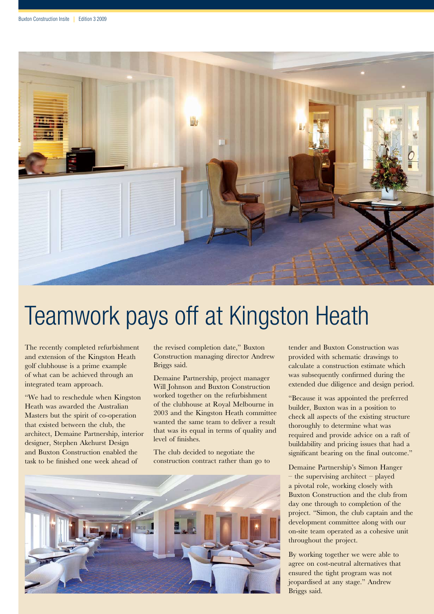

## Teamwork pays off at Kingston Heath

The recently completed refurbishment and extension of the Kingston Heath golf clubhouse is a prime example of what can be achieved through an integrated team approach.

"We had to reschedule when Kingston Heath was awarded the Australian Masters but the spirit of co-operation that existed between the club, the architect, Demaine Partnership, interior designer, Stephen Akehurst Design and Buxton Construction enabled the task to be finished one week ahead of

the revised completion date," Buxton Construction managing director Andrew Briggs said.

Demaine Partnership, project manager Will Johnson and Buxton Construction worked together on the refurbishment of the clubhouse at Royal Melbourne in 2003 and the Kingston Heath committee wanted the same team to deliver a result that was its equal in terms of quality and level of finishes.

The club decided to negotiate the construction contract rather than go to

tender and Buxton Construction was provided with schematic drawings to calculate a construction estimate which was subsequently confirmed during the extended due diligence and design period.

"Because it was appointed the preferred builder, Buxton was in a position to check all aspects of the existing structure thoroughly to determine what was required and provide advice on a raft of buildability and pricing issues that had a significant bearing on the final outcome."

Demaine Partnership's Simon Hanger – the supervising architect – played a pivotal role, working closely with Buxton Construction and the club from day one through to completion of the project. "Simon, the club captain and the development committee along with our on-site team operated as a cohesive unit throughout the project.

By working together we were able to agree on cost-neutral alternatives that ensured the tight program was not jeopardised at any stage." Andrew Briggs said.

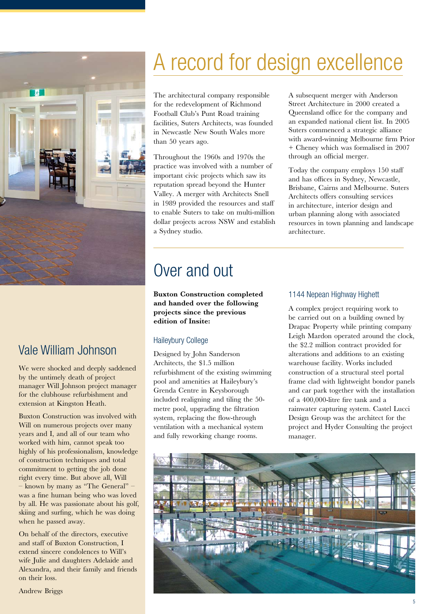

### Vale William Johnson

We were shocked and deeply saddened by the untimely death of project manager Will Johnson project manager for the clubhouse refurbishment and extension at Kingston Heath.

Buxton Construction was involved with Will on numerous projects over many years and I, and all of our team who worked with him, cannot speak too highly of his professionalism, knowledge of construction techniques and total commitment to getting the job done right every time. But above all, Will – known by many as "The General" – was a fine human being who was loved by all. He was passionate about his golf, skiing and surfing, which he was doing when he passed away.

On behalf of the directors, executive and staff of Buxton Construction, I extend sincere condolences to Will's wife Julie and daughters Adelaide and Alexandra, and their family and friends on their loss.

## A record for design excellence

The architectural company responsible for the redevelopment of Richmond Football Club's Punt Road training facilities, Suters Architects, was founded in Newcastle New South Wales more than 50 years ago.

Throughout the 1960s and 1970s the practice was involved with a number of important civic projects which saw its reputation spread beyond the Hunter Valley. A merger with Architects Snell in 1989 provided the resources and staff to enable Suters to take on multi-million dollar projects across NSW and establish a Sydney studio.

### Over and out

**Buxton Construction completed and handed over the following projects since the previous edition of Insite:**

### Haileybury College

Designed by John Sanderson Architects, the \$1.5 million refurbishment of the existing swimming pool and amenities at Haileybury's Grenda Centre in Keysborough included realigning and tiling the 50 metre pool, upgrading the filtration system, replacing the flow-through ventilation with a mechanical system and fully reworking change rooms.

A subsequent merger with Anderson Street Architecture in 2000 created a Queensland office for the company and an expanded national client list. In 2005 Suters commenced a strategic alliance with award-winning Melbourne firm Prior + Cheney which was formalised in 2007 through an official merger.

Today the company employs 150 staff and has offices in Sydney, Newcastle, Brisbane, Cairns and Melbourne. Suters Architects offers consulting services in architecture, interior design and urban planning along with associated resources in town planning and landscape architecture.

### 1144 Nepean Highway Highett

A complex project requiring work to be carried out on a building owned by Drapac Property while printing company Leigh Mardon operated around the clock, the \$2.2 million contract provided for alterations and additions to an existing warehouse facility. Works included construction of a structural steel portal frame clad with lightweight bondor panels and car park together with the installation of a 400,000-litre fire tank and a rainwater capturing system. Castel Lucci Design Group was the architect for the project and Hyder Consulting the project manager.

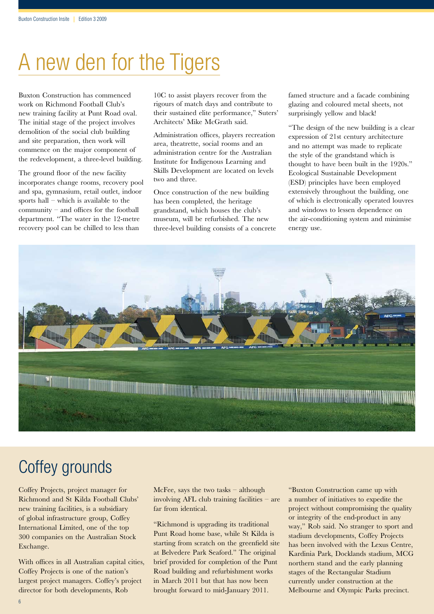## A new den for the Tigers

Buxton Construction has commenced work on Richmond Football Club's new training facility at Punt Road oval. The initial stage of the project involves demolition of the social club building and site preparation, then work will commence on the major component of the redevelopment, a three-level building.

The ground floor of the new facility incorporates change rooms, recovery pool and spa, gymnasium, retail outlet, indoor sports hall – which is available to the community – and offices for the football department. "The water in the 12-metre recovery pool can be chilled to less than

10C to assist players recover from the rigours of match days and contribute to their sustained elite performance," Suters' Architects' Mike McGrath said.

Administration offices, players recreation area, theatrette, social rooms and an administration centre for the Australian Institute for Indigenous Learning and Skills Development are located on levels two and three.

Once construction of the new building has been completed, the heritage grandstand, which houses the club's museum, will be refurbished. The new three-level building consists of a concrete famed structure and a facade combining glazing and coloured metal sheets, not surprisingly yellow and black!

"The design of the new building is a clear expression of 21st century architecture and no attempt was made to replicate the style of the grandstand which is thought to have been built in the 1920s." Ecological Sustainable Development (ESD) principles have been employed extensively throughout the building, one of which is electronically operated louvres and windows to lessen dependence on the air-conditioning system and minimise energy use.



### Coffey grounds

Coffey Projects, project manager for Richmond and St Kilda Football Clubs' new training facilities, is a subsidiary of global infrastructure group, Coffey International Limited, one of the top 300 companies on the Australian Stock Exchange.

With offices in all Australian capital cities, Coffey Projects is one of the nation's largest project managers. Coffey's project director for both developments, Rob

McFee, says the two tasks – although involving AFL club training facilities – are far from identical.

"Richmond is upgrading its traditional Punt Road home base, while St Kilda is starting from scratch on the greenfield site at Belvedere Park Seaford." The original brief provided for completion of the Punt Road building and refurbishment works in March 2011 but that has now been brought forward to mid-January 2011.

"Buxton Construction came up with a number of initiatives to expedite the project without compromising the quality or integrity of the end-product in any way," Rob said. No stranger to sport and stadium developments, Coffey Projects has been involved with the Lexus Centre, Kardinia Park, Docklands stadium, MCG northern stand and the early planning stages of the Rectangular Stadium currently under construction at the Melbourne and Olympic Parks precinct.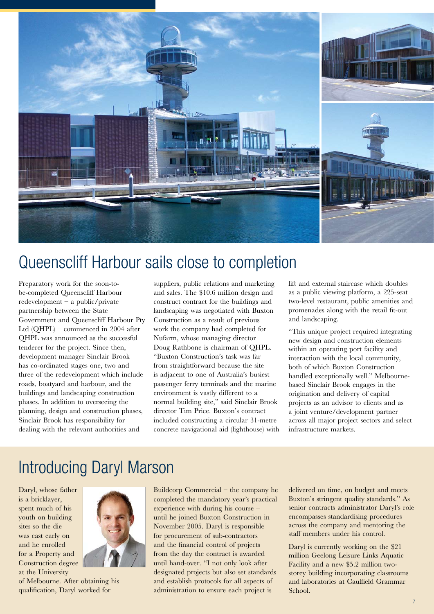

### Queenscliff Harbour sails close to completion

Preparatory work for the soon-tobe-completed Queenscliff Harbour redevelopment – a public/private partnership between the State Government and Queenscliff Harbour Pty Ltd (QHPL) – commenced in 2004 after QHPL was announced as the successful tenderer for the project. Since then, development manager Sinclair Brook has co-ordinated stages one, two and three of the redevelopment which include roads, boatyard and harbour, and the buildings and landscaping construction phases. In addition to overseeing the planning, design and construction phases, Sinclair Brook has responsibility for dealing with the relevant authorities and

suppliers, public relations and marketing and sales. The \$10.6 million design and construct contract for the buildings and landscaping was negotiated with Buxton Construction as a result of previous work the company had completed for Nufarm, whose managing director Doug Rathbone is chairman of QHPL. "Buxton Construction's task was far from straightforward because the site is adjacent to one of Australia's busiest passenger ferry terminals and the marine environment is vastly different to a normal building site," said Sinclair Brook director Tim Price. Buxton's contract included constructing a circular 31-metre concrete navigational aid (lighthouse) with lift and external staircase which doubles as a public viewing platform, a 225-seat two-level restaurant, public amenities and promenades along with the retail fit-out and landscaping.

"This unique project required integrating new design and construction elements within an operating port facility and interaction with the local community, both of which Buxton Construction handled exceptionally well." Melbournebased Sinclair Brook engages in the origination and delivery of capital projects as an advisor to clients and as a joint venture/development partner across all major project sectors and select infrastructure markets.

### Introducing Daryl Marson

Daryl, whose father is a bricklayer, spent much of his youth on building sites so the die was cast early on and he enrolled for a Property and Construction degree at the University



of Melbourne. After obtaining his qualification, Daryl worked for

Buildcorp Commercial – the company he completed the mandatory year's practical experience with during his course – until he joined Buxton Construction in November 2005. Daryl is responsible for procurement of sub-contractors and the financial control of projects from the day the contract is awarded until hand-over. "I not only look after designated projects but also set standards and establish protocols for all aspects of administration to ensure each project is

delivered on time, on budget and meets Buxton's stringent quality standards." As senior contracts administrator Daryl's role encompasses standardising procedures across the company and mentoring the staff members under his control.

Daryl is currently working on the \$21 million Geelong Leisure Links Aquatic Facility and a new \$5.2 million twostorey building incorporating classrooms and laboratories at Caulfield Grammar School.